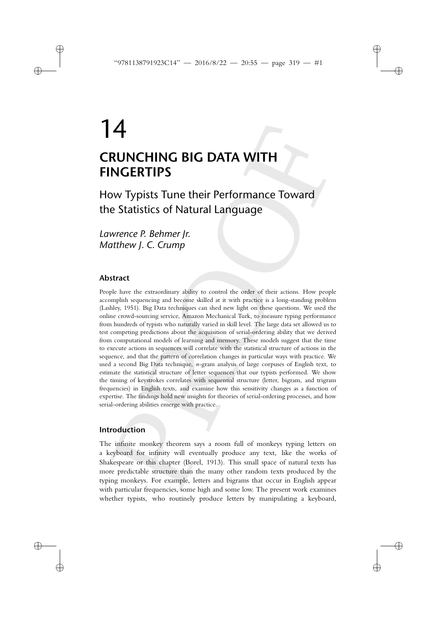$\oplus$ 

Đ.

i

# 14

d.

d<br>D

D.

D.

# **CRUNCHING BIG DATA WITH FINGERTIPS**

How Typists Tune their Performance Toward the Statistics of Natural Language

*Lawrence P. Behmer Jr. Matthew J. C. Crump*

# **Abstract**

People have the extraordinary ability to control the order of their actions. How people accomplish sequencing and become skilled at it with practice is a long-standing problem (Lashley, 1951). Big Data techniques can shed new light on these questions. We used the online crowd-sourcing service, Amazon Mechanical Turk, to measure typing performance from hundreds of typists who naturally varied in skill level. The large data set allowed us to test competing predictions about the acquisition of serial-ordering ability that we derived from computational models of learning and memory. These models suggest that the time to execute actions in sequences will correlate with the statistical structure of actions in the sequence, and that the pattern of correlation changes in particular ways with practice. We used a second Big Data technique, *n*-gram analysis of large corpuses of English text, to estimate the statistical structure of letter sequences that our typists performed. We show the timing of keystrokes correlates with sequential structure (letter, bigram, and trigram frequencies) in English texts, and examine how this sensitivity changes as a function of expertise. The findings hold new insights for theories of serial-ordering processes, and how serial-ordering abilities emerge with practice.

# **Introduction**

The infinite monkey theorem says a room full of monkeys typing letters on a keyboard for infinity will eventually produce any text, like the works of Shakespeare or this chapter (Borel, 1913). This small space of natural texts has more predictable structure than the many other random texts produced by the typing monkeys. For example, letters and bigrams that occur in English appear with particular frequencies, some high and some low. The present work examines whether typists, who routinely produce letters by manipulating a keyboard,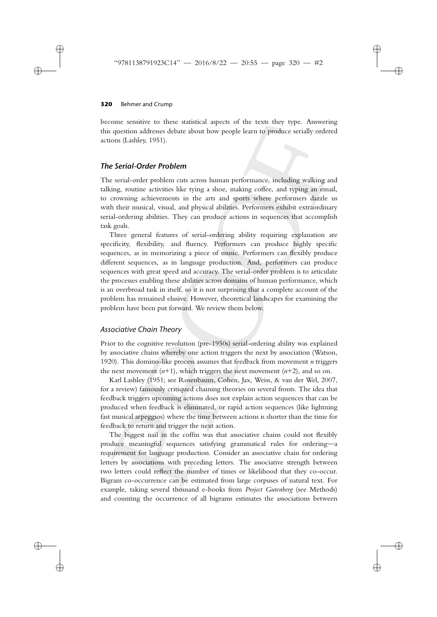$\oplus$ 

Đ.

i

#### **320** Behmer and Crump

d.

d<br>D

D.

D.

become sensitive to these statistical aspects of the texts they type. Answering this question addresses debate about how people learn to produce serially ordered actions (Lashley, 1951).

# *The Serial-Order Problem*

The serial-order problem cuts across human performance, including walking and talking, routine activities like tying a shoe, making coffee, and typing an email, to crowning achievements in the arts and sports where performers dazzle us with their musical, visual, and physical abilities. Performers exhibit extraordinary serial-ordering abilities. They can produce actions in sequences that accomplish task goals.

Three general features of serial-ordering ability requiring explanation are specificity, flexibility, and fluency. Performers can produce highly specific sequences, as in memorizing a piece of music. Performers can flexibly produce different sequences, as in language production. And, performers can produce sequences with great speed and accuracy. The serial-order problem is to articulate the processes enabling these abilities across domains of human performance, which is an overbroad task in itself, so it is not surprising that a complete account of the problem has remained elusive. However, theoretical landscapes for examining the problem have been put forward. We review them below.

#### *Associative Chain Theory*

Prior to the cognitive revolution (pre-1950s) serial-ordering ability was explained by associative chains whereby one action triggers the next by association (Watson, 1920). This domino-like process assumes that feedback from movement *n* triggers the next movement  $(n+1)$ , which triggers the next movement  $(n+2)$ , and so on.

Karl Lashley (1951; see Rosenbaum, Cohen, Jax, Weiss, & van der Wel, 2007, for a review) famously critiqued chaining theories on several fronts. The idea that feedback triggers upcoming actions does not explain action sequences that can be produced when feedback is eliminated, or rapid action sequences (like lightning fast musical arpeggios) where the time between actions is shorter than the time for feedback to return and trigger the next action.

The biggest nail in the coffin was that associative chains could not flexibly produce meaningful sequences satisfying grammatical rules for ordering—a requirement for language production. Consider an associative chain for ordering letters by associations with preceding letters. The associative strength between two letters could reflect the number of times or likelihood that they co-occur. Bigram co-occurrence can be estimated from large corpuses of natural text. For example, taking several thousand e-books from *Project Gutenberg* (see Methods) and counting the occurrence of all bigrams estimates the associations between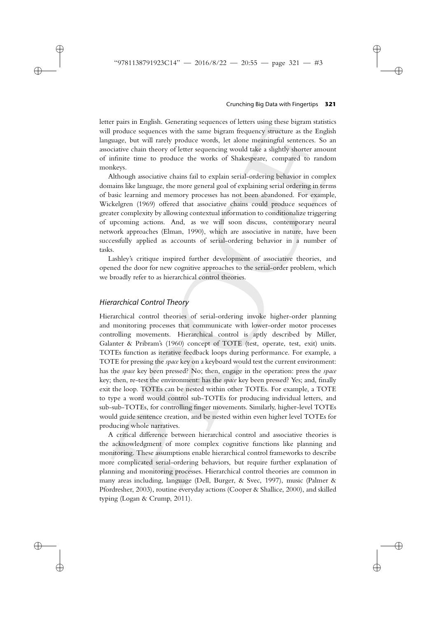#### Crunching Big Data with Fingertips **321**

Æ

 $\oplus$ 

Đ.

i

letter pairs in English. Generating sequences of letters using these bigram statistics will produce sequences with the same bigram frequency structure as the English language, but will rarely produce words, let alone meaningful sentences. So an associative chain theory of letter sequencing would take a slightly shorter amount of infinite time to produce the works of Shakespeare, compared to random monkeys.

Although associative chains fail to explain serial-ordering behavior in complex domains like language, the more general goal of explaining serial ordering in terms of basic learning and memory processes has not been abandoned. For example, Wickelgren (1969) offered that associative chains could produce sequences of greater complexity by allowing contextual information to conditionalize triggering of upcoming actions. And, as we will soon discuss, contemporary neural network approaches (Elman, 1990), which are associative in nature, have been successfully applied as accounts of serial-ordering behavior in a number of tasks.

Lashley's critique inspired further development of associative theories, and opened the door for new cognitive approaches to the serial-order problem, which we broadly refer to as hierarchical control theories.

# *Hierarchical Control Theory*

d.

d<br>D

D.

D.

Hierarchical control theories of serial-ordering invoke higher-order planning and monitoring processes that communicate with lower-order motor processes controlling movements. Hierarchical control is aptly described by Miller, Galanter & Pribram's (1960) concept of TOTE (test, operate, test, exit) units. TOTEs function as iterative feedback loops during performance. For example, a TOTE for pressing the *space* key on a keyboard would test the current environment: has the *space* key been pressed? No; then, engage in the operation: press the *space* key; then, re-test the environment: has the *space* key been pressed? Yes; and, finally exit the loop. TOTEs can be nested within other TOTEs. For example, a TOTE to type a word would control sub-TOTEs for producing individual letters, and sub-sub-TOTEs, for controlling finger movements. Similarly, higher-level TOTEs would guide sentence creation, and be nested within even higher level TOTEs for producing whole narratives.

A critical difference between hierarchical control and associative theories is the acknowledgment of more complex cognitive functions like planning and monitoring. These assumptions enable hierarchical control frameworks to describe more complicated serial-ordering behaviors, but require further explanation of planning and monitoring processes. Hierarchical control theories are common in many areas including, language (Dell, Burger, & Svec, 1997), music (Palmer & Pfordresher, 2003), routine everyday actions (Cooper & Shallice, 2000), and skilled typing (Logan & Crump, 2011).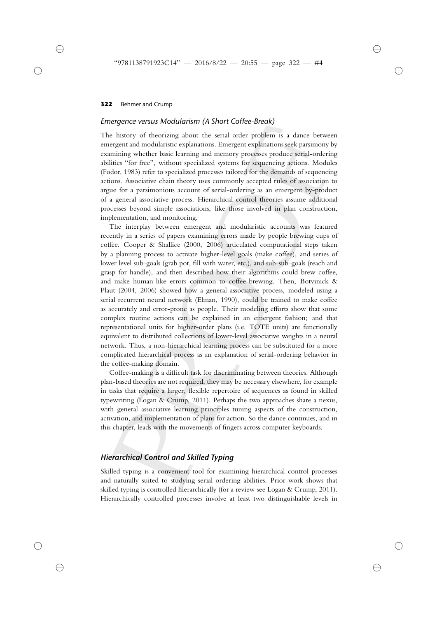<sup>n</sup>

 $\oplus$ 

Đ.

i

#### **322** Behmer and Crump

d.

d<br>D

D.

D.

#### *Emergence versus Modularism (A Short Coffee-Break)*

The history of theorizing about the serial-order problem is a dance between emergent and modularistic explanations. Emergent explanations seek parsimony by examining whether basic learning and memory processes produce serial-ordering abilities "for free", without specialized systems for sequencing actions. Modules (Fodor, 1983) refer to specialized processes tailored for the demands of sequencing actions. Associative chain theory uses commonly accepted rules of association to argue for a parsimonious account of serial-ordering as an emergent by-product of a general associative process. Hierarchical control theories assume additional processes beyond simple associations, like those involved in plan construction, implementation, and monitoring.

The interplay between emergent and modularistic accounts was featured recently in a series of papers examining errors made by people brewing cups of coffee. Cooper & Shallice (2000, 2006) articulated computational steps taken by a planning process to activate higher-level goals (make coffee), and series of lower level sub-goals (grab pot, fill with water, etc.), and sub-sub-goals (reach and grasp for handle), and then described how their algorithms could brew coffee, and make human-like errors common to coffee-brewing. Then, Botvinick & Plaut (2004, 2006) showed how a general associative process, modeled using a serial recurrent neural network (Elman, 1990), could be trained to make coffee as accurately and error-prone as people. Their modeling efforts show that some complex routine actions can be explained in an emergent fashion; and that representational units for higher-order plans (i.e. TOTE units) are functionally equivalent to distributed collections of lower-level associative weights in a neural network. Thus, a non-hierarchical learning process can be substituted for a more complicated hierarchical process as an explanation of serial-ordering behavior in the coffee-making domain.

Coffee-making is a difficult task for discriminating between theories. Although plan-based theories are not required, they may be necessary elsewhere, for example in tasks that require a larger, flexible repertoire of sequences as found in skilled typewriting (Logan & Crump, 2011). Perhaps the two approaches share a nexus, with general associative learning principles tuning aspects of the construction, activation, and implementation of plans for action. So the dance continues, and in this chapter, leads with the movements of fingers across computer keyboards.

# *Hierarchical Control and Skilled Typing*

Skilled typing is a convenient tool for examining hierarchical control processes and naturally suited to studying serial-ordering abilities. Prior work shows that skilled typing is controlled hierarchically (for a review see Logan & Crump, 2011). Hierarchically controlled processes involve at least two distinguishable levels in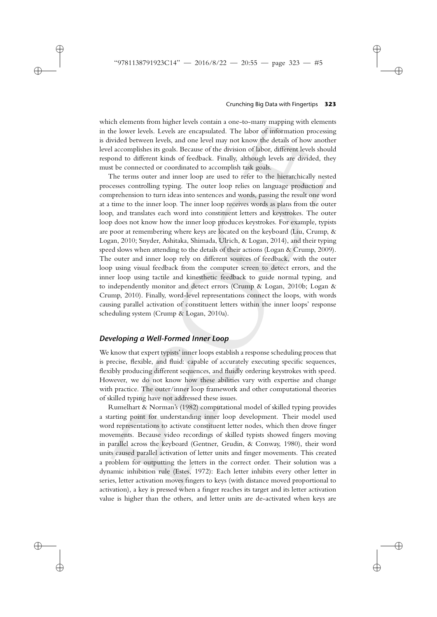d<br>D

D.

D.

#### Crunching Big Data with Fingertips **323**

<sup>n</sup>

 $\oplus$ 

i

i

which elements from higher levels contain a one-to-many mapping with elements in the lower levels. Levels are encapsulated. The labor of information processing is divided between levels, and one level may not know the details of how another level accomplishes its goals. Because of the division of labor, different levels should respond to different kinds of feedback. Finally, although levels are divided, they must be connected or coordinated to accomplish task goals.

The terms outer and inner loop are used to refer to the hierarchically nested processes controlling typing. The outer loop relies on language production and comprehension to turn ideas into sentences and words, passing the result one word at a time to the inner loop. The inner loop receives words as plans from the outer loop, and translates each word into constituent letters and keystrokes. The outer loop does not know how the inner loop produces keystrokes. For example, typists are poor at remembering where keys are located on the keyboard (Liu, Crump, & Logan, 2010; Snyder, Ashitaka, Shimada, Ulrich, & Logan, 2014), and their typing speed slows when attending to the details of their actions (Logan & Crump, 2009). The outer and inner loop rely on different sources of feedback, with the outer loop using visual feedback from the computer screen to detect errors, and the inner loop using tactile and kinesthetic feedback to guide normal typing, and to independently monitor and detect errors (Crump & Logan, 2010b; Logan & Crump, 2010). Finally, word-level representations connect the loops, with words causing parallel activation of constituent letters within the inner loops' response scheduling system (Crump & Logan, 2010a).

## *Developing a Well-Formed Inner Loop*

We know that expert typists' inner loops establish a response scheduling process that is precise, flexible, and fluid: capable of accurately executing specific sequences, flexibly producing different sequences, and fluidly ordering keystrokes with speed. However, we do not know how these abilities vary with expertise and change with practice. The outer/inner loop framework and other computational theories of skilled typing have not addressed these issues.

Rumelhart & Norman's (1982) computational model of skilled typing provides a starting point for understanding inner loop development. Their model used word representations to activate constituent letter nodes, which then drove finger movements. Because video recordings of skilled typists showed fingers moving in parallel across the keyboard (Gentner, Grudin, & Conway, 1980), their word units caused parallel activation of letter units and finger movements. This created a problem for outputting the letters in the correct order. Their solution was a dynamic inhibition rule (Estes, 1972): Each letter inhibits every other letter in series, letter activation moves fingers to keys (with distance moved proportional to activation), a key is pressed when a finger reaches its target and its letter activation value is higher than the others, and letter units are de-activated when keys are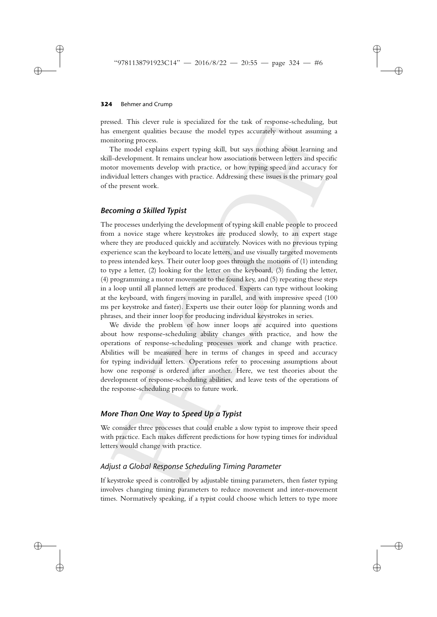$\oplus$ 

i

i

#### **324** Behmer and Crump

d.

d<br>D

D.

D.

pressed. This clever rule is specialized for the task of response-scheduling, but has emergent qualities because the model types accurately without assuming a monitoring process.

The model explains expert typing skill, but says nothing about learning and skill-development. It remains unclear how associations between letters and specific motor movements develop with practice, or how typing speed and accuracy for individual letters changes with practice. Addressing these issues is the primary goal of the present work.

# *Becoming a Skilled Typist*

The processes underlying the development of typing skill enable people to proceed from a novice stage where keystrokes are produced slowly, to an expert stage where they are produced quickly and accurately. Novices with no previous typing experience scan the keyboard to locate letters, and use visually targeted movements to press intended keys. Their outer loop goes through the motions of (1) intending to type a letter, (2) looking for the letter on the keyboard, (3) finding the letter, (4) programming a motor movement to the found key, and (5) repeating these steps in a loop until all planned letters are produced. Experts can type without looking at the keyboard, with fingers moving in parallel, and with impressive speed (100 ms per keystroke and faster). Experts use their outer loop for planning words and phrases, and their inner loop for producing individual keystrokes in series.

We divide the problem of how inner loops are acquired into questions about how response-scheduling ability changes with practice, and how the operations of response-scheduling processes work and change with practice. Abilities will be measured here in terms of changes in speed and accuracy for typing individual letters. Operations refer to processing assumptions about how one response is ordered after another. Here, we test theories about the development of response-scheduling abilities, and leave tests of the operations of the response-scheduling process to future work.

# *More Than One Way to Speed Up a Typist*

We consider three processes that could enable a slow typist to improve their speed with practice. Each makes different predictions for how typing times for individual letters would change with practice.

#### *Adjust a Global Response Scheduling Timing Parameter*

If keystroke speed is controlled by adjustable timing parameters, then faster typing involves changing timing parameters to reduce movement and inter-movement times. Normatively speaking, if a typist could choose which letters to type more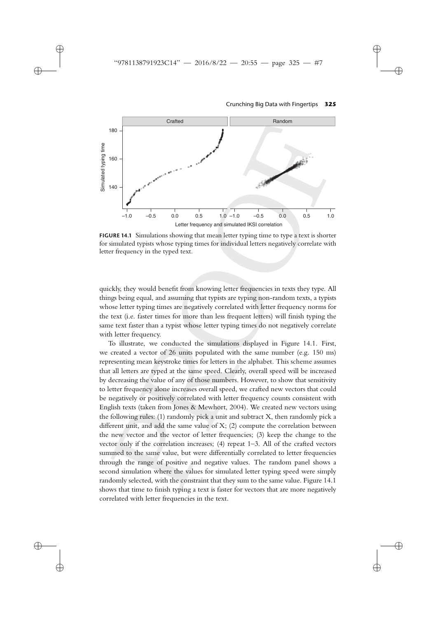$\oplus$ 

D.

D.



#### Crunching Big Data with Fingertips **325**

Æ

 $\oplus$ 

 $\oplus$ 

i

**FIGURE 14.1** Simulations showing that mean letter typing time to type a text is shorter for simulated typists whose typing times for individual letters negatively correlate with letter frequency in the typed text.

quickly, they would benefit from knowing letter frequencies in texts they type. All things being equal, and assuming that typists are typing non-random texts, a typists whose letter typing times are negatively correlated with letter frequency norms for the text (i.e. faster times for more than less frequent letters) will finish typing the same text faster than a typist whose letter typing times do not negatively correlate with letter frequency.

To illustrate, we conducted the simulations displayed in Figure 14.1. First, we created a vector of 26 units populated with the same number (e.g. 150 ms) representing mean keystroke times for letters in the alphabet. This scheme assumes that all letters are typed at the same speed. Clearly, overall speed will be increased by decreasing the value of any of those numbers. However, to show that sensitivity to letter frequency alone increases overall speed, we crafted new vectors that could be negatively or positively correlated with letter frequency counts consistent with English texts (taken from Jones & Mewhort, 2004). We created new vectors using the following rules: (1) randomly pick a unit and subtract X, then randomly pick a different unit, and add the same value of X; (2) compute the correlation between the new vector and the vector of letter frequencies; (3) keep the change to the vector only if the correlation increases; (4) repeat 1–3. All of the crafted vectors summed to the same value, but were differentially correlated to letter frequencies through the range of positive and negative values. The random panel shows a second simulation where the values for simulated letter typing speed were simply randomly selected, with the constraint that they sum to the same value. Figure 14.1 shows that time to finish typing a text is faster for vectors that are more negatively correlated with letter frequencies in the text.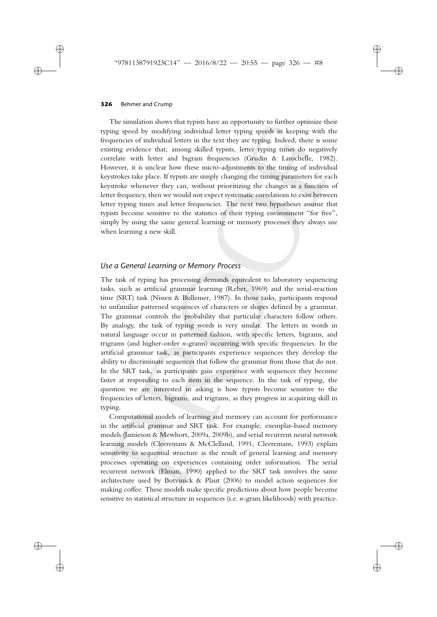$\oplus$ 

i

i

#### **326** Behmer and Crump

d.

d<br>D

D.

D.

The simulation shows that typists have an opportunity to further optimize their typing speed by modifying individual letter typing speeds in keeping with the frequencies of individual letters in the text they are typing. Indeed, there is some existing evidence that, among skilled typists, letter typing times do negatively correlate with letter and bigram frequencies (Grudin & Larochelle, 1982). However, it is unclear how these micro-adjustments to the timing of individual keystrokes take place. If typists are simply changing the timing parameters for each keystroke whenever they can, without prioritizing the changes as a function of letter frequency, then we would not expect systematic correlations to exist between letter typing times and letter frequencies. The next two hypotheses assume that typists become sensitive to the statistics of their typing environment "for free", simply by using the same general learning or memory processes they always use when learning a new skill.

## *Use a General Learning or Memory Process*

The task of typing has processing demands equivalent to laboratory sequencing tasks, such as artificial grammar learning (Reber, 1969) and the serial-reaction time (SRT) task (Nissen & Bullemer, 1987). In those tasks, participants respond to unfamiliar patterned sequences of characters or shapes defined by a grammar. The grammar controls the probability that particular characters follow others. By analogy, the task of typing words is very similar. The letters in words in natural language occur in patterned fashion, with specific letters, bigrams, and trigrams (and higher-order *n*-grams) occurring with specific frequencies. In the artificial grammar task, as participants experience sequences they develop the ability to discriminate sequences that follow the grammar from those that do not. In the SRT task, as participants gain experience with sequences they become faster at responding to each item in the sequence. In the task of typing, the question we are interested in asking is how typists become sensitive to the frequencies of letters, bigrams, and trigrams, as they progress in acquiring skill in typing.

Computational models of learning and memory can account for performance in the artificial grammar and SRT task. For example, exemplar-based memory models (Jamieson & Mewhort, 2009a, 2009b), and serial recurrent neural network learning models (Cleeremans & McClelland, 1991; Cleeremans, 1993) explain sensitivity to sequential structure as the result of general learning and memory processes operating on experiences containing order information. The serial recurrent network (Elman, 1990) applied to the SRT task involves the same architecture used by Botvinick & Plaut (2006) to model action sequences for making coffee. These models make specific predictions about how people become sensitive to statistical structure in sequences (i.e. *n*-gram likelihoods) with practice.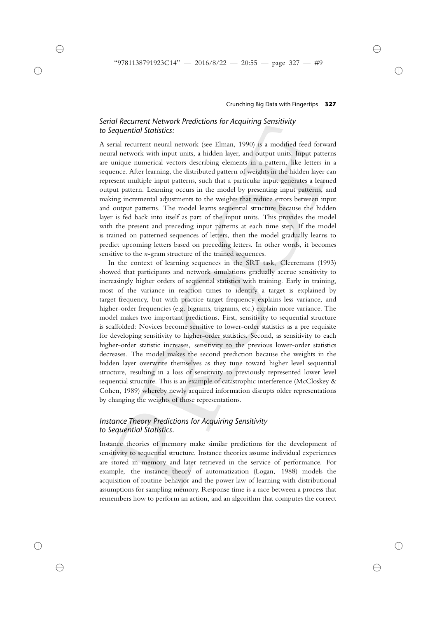#### Crunching Big Data with Fingertips **327**

Æ

 $\oplus$ 

Đ.

i

# *Serial Recurrent Network Predictions for Acquiring Sensitivity to Sequential Statistics:*

d.

d<br>D

D.

D.

A serial recurrent neural network (see Elman, 1990) is a modified feed-forward neural network with input units, a hidden layer, and output units. Input patterns are unique numerical vectors describing elements in a pattern, like letters in a sequence. After learning, the distributed pattern of weights in the hidden layer can represent multiple input patterns, such that a particular input generates a learned output pattern. Learning occurs in the model by presenting input patterns, and making incremental adjustments to the weights that reduce errors between input and output patterns. The model learns sequential structure because the hidden layer is fed back into itself as part of the input units. This provides the model with the present and preceding input patterns at each time step. If the model is trained on patterned sequences of letters, then the model gradually learns to predict upcoming letters based on preceding letters. In other words, it becomes sensitive to the *n*-gram structure of the trained sequences.

In the context of learning sequences in the SRT task, Cleeremans (1993) showed that participants and network simulations gradually accrue sensitivity to increasingly higher orders of sequential statistics with training. Early in training, most of the variance in reaction times to identify a target is explained by target frequency, but with practice target frequency explains less variance, and higher-order frequencies (e.g. bigrams, trigrams, etc.) explain more variance. The model makes two important predictions. First, sensitivity to sequential structure is scaffolded: Novices become sensitive to lower-order statistics as a pre requisite for developing sensitivity to higher-order statistics. Second, as sensitivity to each higher-order statistic increases, sensitivity to the previous lower-order statistics decreases. The model makes the second prediction because the weights in the hidden layer overwrite themselves as they tune toward higher level sequential structure, resulting in a loss of sensitivity to previously represented lower level sequential structure. This is an example of catastrophic interference (McCloskey & Cohen, 1989) whereby newly acquired information disrupts older representations by changing the weights of those representations.

# *Instance Theory Predictions for Acquiring Sensitivity to Sequential Statistics.*

Instance theories of memory make similar predictions for the development of sensitivity to sequential structure. Instance theories assume individual experiences are stored in memory and later retrieved in the service of performance. For example, the instance theory of automatization (Logan, 1988) models the acquisition of routine behavior and the power law of learning with distributional assumptions for sampling memory. Response time is a race between a process that remembers how to perform an action, and an algorithm that computes the correct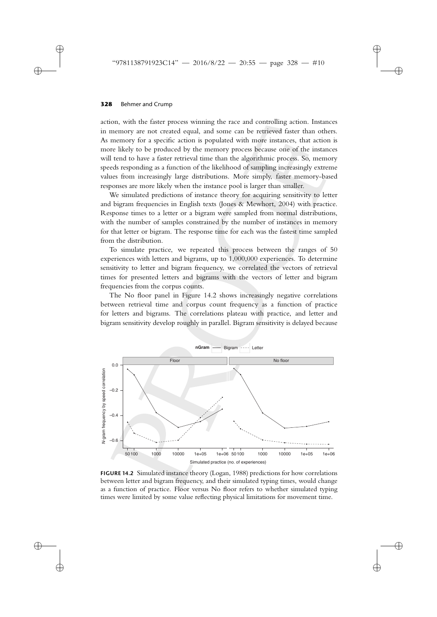$\bigoplus$ 

 $\oplus$ 

i

#### **328** Behmer and Crump

d.

 $\oplus$ 

D.

D.

action, with the faster process winning the race and controlling action. Instances in memory are not created equal, and some can be retrieved faster than others. As memory for a specific action is populated with more instances, that action is more likely to be produced by the memory process because one of the instances will tend to have a faster retrieval time than the algorithmic process. So, memory speeds responding as a function of the likelihood of sampling increasingly extreme values from increasingly large distributions. More simply, faster memory-based responses are more likely when the instance pool is larger than smaller.

We simulated predictions of instance theory for acquiring sensitivity to letter and bigram frequencies in English texts (Jones & Mewhort, 2004) with practice. Response times to a letter or a bigram were sampled from normal distributions, with the number of samples constrained by the number of instances in memory for that letter or bigram. The response time for each was the fastest time sampled from the distribution.

To simulate practice, we repeated this process between the ranges of 50 experiences with letters and bigrams, up to 1,000,000 experiences. To determine sensitivity to letter and bigram frequency, we correlated the vectors of retrieval times for presented letters and bigrams with the vectors of letter and bigram frequencies from the corpus counts.

The No floor panel in Figure 14.2 shows increasingly negative correlations between retrieval time and corpus count frequency as a function of practice for letters and bigrams. The correlations plateau with practice, and letter and bigram sensitivity develop roughly in parallel. Bigram sensitivity is delayed because



**FIGURE 14.2** Simulated instance theory (Logan, 1988) predictions for how correlations between letter and bigram frequency, and their simulated typing times, would change as a function of practice. Floor versus No floor refers to whether simulated typing times were limited by some value reflecting physical limitations for movement time.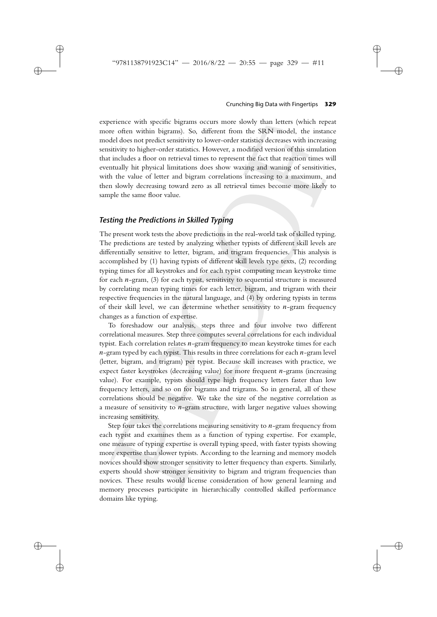#### Crunching Big Data with Fingertips **329**

Æ

 $\oplus$ 

Đ.

i

experience with specific bigrams occurs more slowly than letters (which repeat more often within bigrams). So, different from the SRN model, the instance model does not predict sensitivity to lower-order statistics decreases with increasing sensitivity to higher-order statistics. However, a modified version of this simulation that includes a floor on retrieval times to represent the fact that reaction times will eventually hit physical limitations does show waxing and waning of sensitivities, with the value of letter and bigram correlations increasing to a maximum, and then slowly decreasing toward zero as all retrieval times become more likely to sample the same floor value.

# *Testing the Predictions in Skilled Typing*

d.

d<br>D

D.

D.

The present work tests the above predictions in the real-world task of skilled typing. The predictions are tested by analyzing whether typists of different skill levels are differentially sensitive to letter, bigram, and trigram frequencies. This analysis is accomplished by (1) having typists of different skill levels type texts, (2) recording typing times for all keystrokes and for each typist computing mean keystroke time for each *n*-gram, (3) for each typist, sensitivity to sequential structure is measured by correlating mean typing times for each letter, bigram, and trigram with their respective frequencies in the natural language, and (4) by ordering typists in terms of their skill level, we can determine whether sensitivity to *n*-gram frequency changes as a function of expertise.

To foreshadow our analysis, steps three and four involve two different correlational measures. Step three computes several correlations for each individual typist. Each correlation relates *n*-gram frequency to mean keystroke times for each *n*-gram typed by each typist. This results in three correlations for each *n*-gram level (letter, bigram, and trigram) per typist. Because skill increases with practice, we expect faster keystrokes (decreasing value) for more frequent *n*-grams (increasing value). For example, typists should type high frequency letters faster than low frequency letters, and so on for bigrams and trigrams. So in general, all of these correlations should be negative. We take the size of the negative correlation as a measure of sensitivity to *n*-gram structure, with larger negative values showing increasing sensitivity.

Step four takes the correlations measuring sensitivity to *n*-gram frequency from each typist and examines them as a function of typing expertise. For example, one measure of typing expertise is overall typing speed, with faster typists showing more expertise than slower typists. According to the learning and memory models novices should show stronger sensitivity to letter frequency than experts. Similarly, experts should show stronger sensitivity to bigram and trigram frequencies than novices. These results would license consideration of how general learning and memory processes participate in hierarchically controlled skilled performance domains like typing.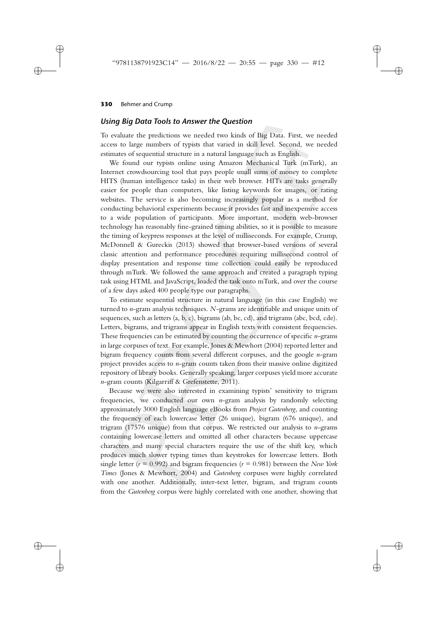$\oplus$ 

Đ.

i

#### **330** Behmer and Crump

d.

d<br>D

D.

D.

#### *Using Big Data Tools to Answer the Question*

To evaluate the predictions we needed two kinds of Big Data. First, we needed access to large numbers of typists that varied in skill level. Second, we needed estimates of sequential structure in a natural language such as English.

We found our typists online using Amazon Mechanical Turk (mTurk), an Internet crowdsourcing tool that pays people small sums of money to complete HITS (human intelligence tasks) in their web browser. HITs are tasks generally easier for people than computers, like listing keywords for images, or rating websites. The service is also becoming increasingly popular as a method for conducting behavioral experiments because it provides fast and inexpensive access to a wide population of participants. More important, modern web-browser technology has reasonably fine-grained timing abilities, so it is possible to measure the timing of keypress responses at the level of milliseconds. For example, Crump, McDonnell & Gureckis (2013) showed that browser-based versions of several classic attention and performance procedures requiring millisecond control of display presentation and response time collection could easily be reproduced through mTurk. We followed the same approach and created a paragraph typing task using HTML and JavaScript, loaded the task onto mTurk, and over the course of a few days asked 400 people type our paragraphs.

To estimate sequential structure in natural language (in this case English) we turned to *n*-gram analysis techniques. *N*-grams are identifiable and unique units of sequences, such as letters  $(a, b, c)$ , bigrams  $(ab, bc, cd)$ , and trigrams  $(abc, bcd, cde)$ . Letters, bigrams, and trigrams appear in English texts with consistent frequencies. These frequencies can be estimated by counting the occurrence of specific *n*-grams in large corpuses of text. For example, Jones & Mewhort (2004) reported letter and bigram frequency counts from several different corpuses, and the google *n*-gram project provides access to *n*-gram counts taken from their massive online digitized repository of library books. Generally speaking, larger corpuses yield more accurate *n*-gram counts (Kilgarriff & Grefenstette, 2011).

Because we were also interested in examining typists' sensitivity to trigram frequencies, we conducted our own *n*-gram analysis by randomly selecting approximately 3000 English language eBooks from *Project Gutenberg*, and counting the frequency of each lowercase letter (26 unique), bigram (676 unique), and trigram (17576 unique) from that corpus. We restricted our analysis to *n*-grams containing lowercase letters and omitted all other characters because uppercase characters and many special characters require the use of the shift key, which produces much slower typing times than keystrokes for lowercase letters. Both single letter (*r* = 0.992) and bigram frequencies (*r* = 0.981) between the *New York Times* (Jones & Mewhort, 2004) and *Gutenberg* corpuses were highly correlated with one another. Additionally, inter-text letter, bigram, and trigram counts from the *Gutenberg* corpus were highly correlated with one another, showing that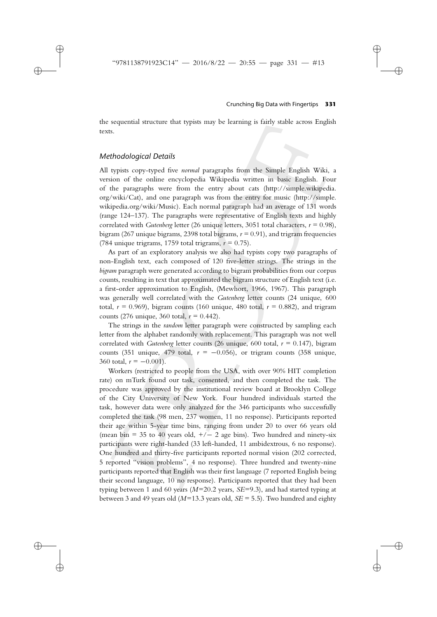#### Crunching Big Data with Fingertips **331**

the sequential structure that typists may be learning is fairly stable across English texts.

# *Methodological Details*

d.

d<br>D

D.

D.

All typists copy-typed five *normal* paragraphs from the Simple English Wiki, a version of the online encyclopedia Wikipedia written in basic English. Four of the paragraphs were from the entry about cats (http://simple.wikipedia. org/wiki/Cat), and one paragraph was from the entry for music (http://simple. wikipedia.org/wiki/Music). Each normal paragraph had an average of 131 words (range 124–137). The paragraphs were representative of English texts and highly correlated with *Gutenberg* letter (26 unique letters, 3051 total characters, *r* = 0.98), bigram (267 unique bigrams, 2398 total bigrams,  $r = 0.91$ ), and trigram frequencies (784 unique trigrams, 1759 total trigrams, *r* = 0.75).

As part of an exploratory analysis we also had typists copy two paragraphs of non-English text, each composed of 120 five-letter strings. The strings in the *bigram* paragraph were generated according to bigram probabilities from our corpus counts, resulting in text that approximated the bigram structure of English text (i.e. a first-order approximation to English, (Mewhort, 1966, 1967). This paragraph was generally well correlated with the *Gutenberg* letter counts (24 unique, 600 total,  $r = 0.969$ ), bigram counts (160 unique, 480 total,  $r = 0.882$ ), and trigram counts (276 unique, 360 total, *r* = 0.442).

The strings in the *random* letter paragraph were constructed by sampling each letter from the alphabet randomly with replacement. This paragraph was not well correlated with *Gutenberg* letter counts (26 unique, 600 total, *r* = 0.147), bigram counts (351 unique, 479 total,  $r = -0.056$ ), or trigram counts (358 unique, 360 total,  $r = -0.001$ ).

Workers (restricted to people from the USA, with over 90% HIT completion rate) on mTurk found our task, consented, and then completed the task. The procedure was approved by the institutional review board at Brooklyn College of the City University of New York. Four hundred individuals started the task, however data were only analyzed for the 346 participants who successfully completed the task (98 men, 237 women, 11 no response). Participants reported their age within 5-year time bins, ranging from under 20 to over 66 years old (mean bin = 35 to 40 years old,  $+/- 2$  age bins). Two hundred and ninety-six participants were right-handed (33 left-handed, 11 ambidextrous, 6 no response). One hundred and thirty-five participants reported normal vision (202 corrected, 5 reported "vision problems", 4 no response). Three hundred and twenty-nine participants reported that English was their first language (7 reported English being their second language, 10 no response). Participants reported that they had been typing between 1 and 60 years (*M*=20.2 years, *SE*=9.3), and had started typing at between 3 and 49 years old (*M*=13.3 years old, *SE* = 5.5). Two hundred and eighty

Æ

 $\oplus$ 

i

i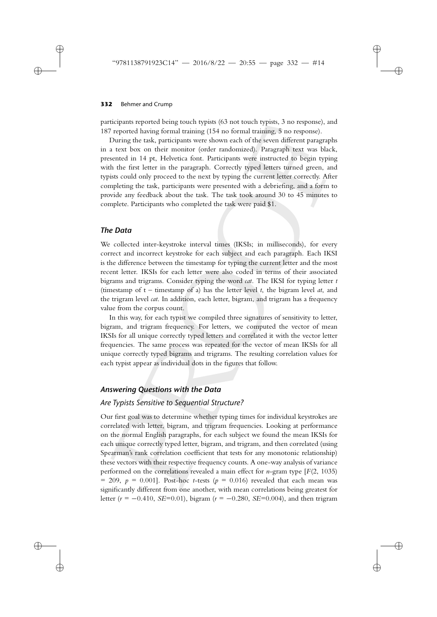$\oplus$ 

i

i

#### **332** Behmer and Crump

d.

d<br>D

D.

D.

participants reported being touch typists (63 not touch typists, 3 no response), and 187 reported having formal training (154 no formal training, 5 no response).

During the task, participants were shown each of the seven different paragraphs in a text box on their monitor (order randomized). Paragraph text was black, presented in 14 pt, Helvetica font. Participants were instructed to begin typing with the first letter in the paragraph. Correctly typed letters turned green, and typists could only proceed to the next by typing the current letter correctly. After completing the task, participants were presented with a debriefing, and a form to provide any feedback about the task. The task took around 30 to 45 minutes to complete. Participants who completed the task were paid \$1.

# *The Data*

We collected inter-keystroke interval times (IKSIs; in milliseconds), for every correct and incorrect keystroke for each subject and each paragraph. Each IKSI is the difference between the timestamp for typing the current letter and the most recent letter. IKSIs for each letter were also coded in terms of their associated bigrams and trigrams. Consider typing the word *cat.* The IKSI for typing letter *t* (timestamp of t – timestamp of a) has the letter level *t*, the bigram level *at*, and the trigram level *cat*. In addition, each letter, bigram, and trigram has a frequency value from the corpus count.

In this way, for each typist we compiled three signatures of sensitivity to letter, bigram, and trigram frequency. For letters, we computed the vector of mean IKSIs for all unique correctly typed letters and correlated it with the vector letter frequencies. The same process was repeated for the vector of mean IKSIs for all unique correctly typed bigrams and trigrams. The resulting correlation values for each typist appear as individual dots in the figures that follow.

# *Answering Questions with the Data*

#### *Are Typists Sensitive to Sequential Structure?*

Our first goal was to determine whether typing times for individual keystrokes are correlated with letter, bigram, and trigram frequencies. Looking at performance on the normal English paragraphs, for each subject we found the mean IKSIs for each unique correctly typed letter, bigram, and trigram, and then correlated (using Spearman's rank correlation coefficient that tests for any monotonic relationship) these vectors with their respective frequency counts. A one-way analysis of variance performed on the correlations revealed a main effect for *n*-gram type [*F*(2, 1035)  $= 209$ ,  $p = 0.001$ ]. Post-hoc *t*-tests ( $p = 0.016$ ) revealed that each mean was significantly different from one another, with mean correlations being greatest for letter  $(r = -0.410, SE=0.01)$ , bigram  $(r = -0.280, SE=0.004)$ , and then trigram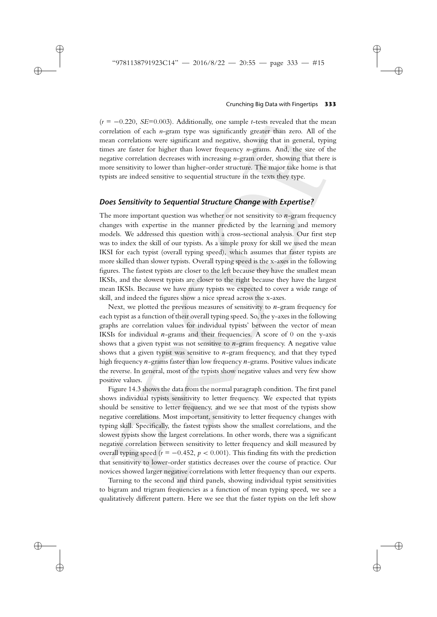d<br>D

D.

D.

#### Crunching Big Data with Fingertips **333**

 $(r = -0.220, SE=0.003)$ . Additionally, one sample *t*-tests revealed that the mean correlation of each *n*-gram type was significantly greater than zero. All of the mean correlations were significant and negative, showing that in general, typing times are faster for higher than lower frequency *n*-grams. And, the size of the negative correlation decreases with increasing *n*-gram order, showing that there is more sensitivity to lower than higher-order structure. The major take home is that typists are indeed sensitive to sequential structure in the texts they type.

#### *Does Sensitivity to Sequential Structure Change with Expertise?*

The more important question was whether or not sensitivity to *n*-gram frequency changes with expertise in the manner predicted by the learning and memory models. We addressed this question with a cross-sectional analysis. Our first step was to index the skill of our typists. As a simple proxy for skill we used the mean IKSI for each typist (overall typing speed), which assumes that faster typists are more skilled than slower typists. Overall typing speed is the x-axes in the following figures. The fastest typists are closer to the left because they have the smallest mean IKSIs, and the slowest typists are closer to the right because they have the largest mean IKSIs. Because we have many typists we expected to cover a wide range of skill, and indeed the figures show a nice spread across the x-axes.

Next, we plotted the previous measures of sensitivity to *n*-gram frequency for each typist as a function of their overall typing speed. So, the y-axes in the following graphs are correlation values for individual typists' between the vector of mean IKSIs for individual *n*-grams and their frequencies. A score of 0 on the y-axis shows that a given typist was not sensitive to  $n$ -gram frequency. A negative value shows that a given typist was sensitive to *n*-gram frequency, and that they typed high frequency *n*-grams faster than low frequency *n*-grams. Positive values indicate the reverse. In general, most of the typists show negative values and very few show positive values.

Figure 14.3 shows the data from the normal paragraph condition. The first panel shows individual typists sensitivity to letter frequency. We expected that typists should be sensitive to letter frequency, and we see that most of the typists show negative correlations. Most important, sensitivity to letter frequency changes with typing skill. Specifically, the fastest typists show the smallest correlations, and the slowest typists show the largest correlations. In other words, there was a significant negative correlation between sensitivity to letter frequency and skill measured by overall typing speed  $(r = -0.452, p < 0.001)$ . This finding fits with the prediction that sensitivity to lower-order statistics decreases over the course of practice. Our novices showed larger negative correlations with letter frequency than our experts.

Turning to the second and third panels, showing individual typist sensitivities to bigram and trigram frequencies as a function of mean typing speed, we see a qualitatively different pattern. Here we see that the faster typists on the left show

i

Æ

 $\oplus$ 

i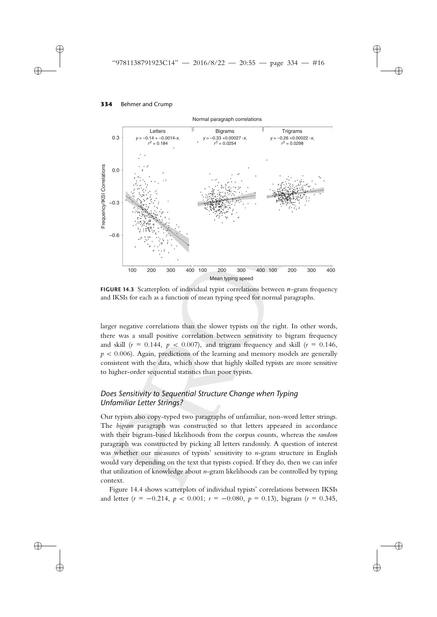

 $\oplus$ 

D.

D.



**FIGURE 14.3** Scatterplots of individual typist correlations between *n*-gram frequency and IKSIs for each as a function of mean typing speed for normal paragraphs.

larger negative correlations than the slower typists on the right. In other words, there was a small positive correlation between sensitivity to bigram frequency and skill  $(r = 0.144, p < 0.007)$ , and trigram frequency and skill  $(r = 0.146,$  $p < 0.006$ ). Again, predictions of the learning and memory models are generally consistent with the data, which show that highly skilled typists are more sensitive to higher-order sequential statistics than poor typists.

# *Does Sensitivity to Sequential Structure Change when Typing Unfamiliar Letter Strings?*

Our typists also copy-typed two paragraphs of unfamiliar, non-word letter strings. The *bigram* paragraph was constructed so that letters appeared in accordance with their bigram-based likelihoods from the corpus counts, whereas the *random* paragraph was constructed by picking all letters randomly. A question of interest was whether our measures of typists' sensitivity to *n*-gram structure in English would vary depending on the text that typists copied. If they do, then we can infer that utilization of knowledge about *n*-gram likelihoods can be controlled by typing context.

Figure 14.4 shows scatterplots of individual typists' correlations between IKSIs and letter  $(r = -0.214, p < 0.001; r = -0.080, p = 0.13)$ , bigram  $(r = 0.345,$  Æ

 $\oplus$ 

 $\oplus$ 

i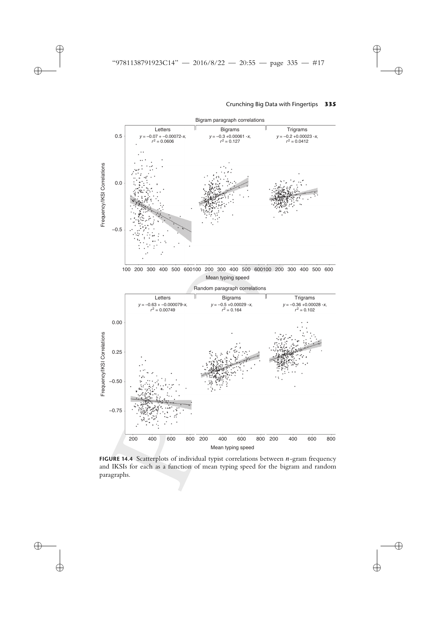$\bigoplus$ 

 $\bigoplus$ 

 $\oplus$ 

 $\bigoplus$ 



# Crunching Big Data with Fingertips **335**

 $\bigoplus$ 

 $\bigoplus$ 

 $\oplus$ 

i



**FIGURE 14.4** Scatterplots of individual typist correlations between *n*-gram frequency and IKSIs for each as a function of mean typing speed for the bigram and random paragraphs.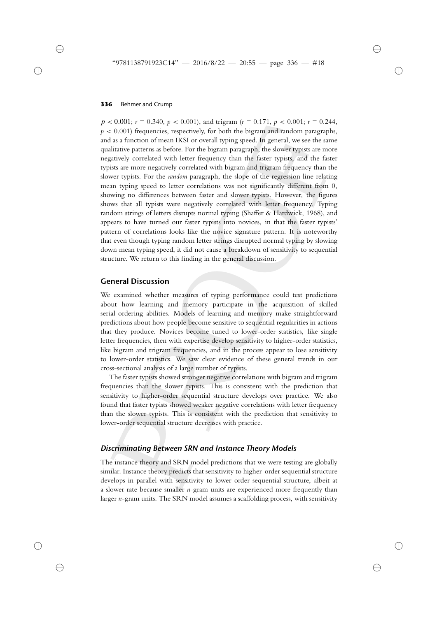$\oplus$ 

Đ.

i

#### **336** Behmer and Crump

d.

d<br>D

D.

D.

*p <* 0*.*001; *r* = 0.340, *p <* 0.001), and trigram (*r* = 0.171, *p <* 0.001; *r* = 0.244,  $p < 0.001$ ) frequencies, respectively, for both the bigram and random paragraphs, and as a function of mean IKSI or overall typing speed. In general, we see the same qualitative patterns as before. For the bigram paragraph, the slower typists are more negatively correlated with letter frequency than the faster typists, and the faster typists are more negatively correlated with bigram and trigram frequency than the slower typists. For the *random* paragraph, the slope of the regression line relating mean typing speed to letter correlations was not significantly different from 0*,* showing no differences between faster and slower typists. However, the figures shows that all typists were negatively correlated with letter frequency. Typing random strings of letters disrupts normal typing (Shaffer & Hardwick, 1968), and appears to have turned our faster typists into novices, in that the faster typists' pattern of correlations looks like the novice signature pattern. It is noteworthy that even though typing random letter strings disrupted normal typing by slowing down mean typing speed, it did not cause a breakdown of sensitivity to sequential structure. We return to this finding in the general discussion.

#### **General Discussion**

We examined whether measures of typing performance could test predictions about how learning and memory participate in the acquisition of skilled serial-ordering abilities. Models of learning and memory make straightforward predictions about how people become sensitive to sequential regularities in actions that they produce. Novices become tuned to lower-order statistics, like single letter frequencies, then with expertise develop sensitivity to higher-order statistics, like bigram and trigram frequencies, and in the process appear to lose sensitivity to lower-order statistics. We saw clear evidence of these general trends in our cross-sectional analysis of a large number of typists.

The faster typists showed stronger negative correlations with bigram and trigram frequencies than the slower typists. This is consistent with the prediction that sensitivity to higher-order sequential structure develops over practice. We also found that faster typists showed weaker negative correlations with letter frequency than the slower typists. This is consistent with the prediction that sensitivity to lower-order sequential structure decreases with practice.

# *Discriminating Between SRN and Instance Theory Models*

The instance theory and SRN model predictions that we were testing are globally similar. Instance theory predicts that sensitivity to higher-order sequential structure develops in parallel with sensitivity to lower-order sequential structure, albeit at a slower rate because smaller *n*-gram units are experienced more frequently than larger *n*-gram units. The SRN model assumes a scaffolding process, with sensitivity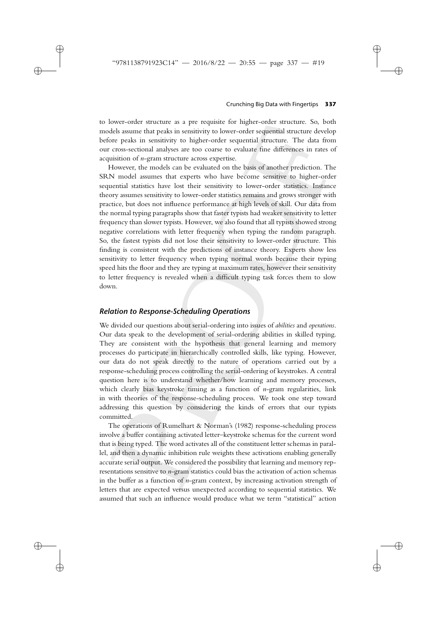d<br>D

D.

D.

#### Crunching Big Data with Fingertips **337**

Æ

 $\oplus$ 

Đ.

i

to lower-order structure as a pre requisite for higher-order structure. So, both models assume that peaks in sensitivity to lower-order sequential structure develop before peaks in sensitivity to higher-order sequential structure. The data from our cross-sectional analyses are too coarse to evaluate fine differences in rates of acquisition of *n*-gram structure across expertise.

However, the models can be evaluated on the basis of another prediction. The SRN model assumes that experts who have become sensitive to higher-order sequential statistics have lost their sensitivity to lower-order statistics. Instance theory assumes sensitivity to lower-order statistics remains and grows stronger with practice, but does not influence performance at high levels of skill. Our data from the normal typing paragraphs show that faster typists had weaker sensitivity to letter frequency than slower typists. However, we also found that all typists showed strong negative correlations with letter frequency when typing the random paragraph. So, the fastest typists did not lose their sensitivity to lower-order structure. This finding is consistent with the predictions of instance theory. Experts show less sensitivity to letter frequency when typing normal words because their typing speed hits the floor and they are typing at maximum rates, however their sensitivity to letter frequency is revealed when a difficult typing task forces them to slow down.

#### *Relation to Response-Scheduling Operations*

We divided our questions about serial-ordering into issues of *abilities* and *operations*. Our data speak to the development of serial-ordering abilities in skilled typing. They are consistent with the hypothesis that general learning and memory processes do participate in hierarchically controlled skills, like typing. However, our data do not speak directly to the nature of operations carried out by a response-scheduling process controlling the serial-ordering of keystrokes. A central question here is to understand whether/how learning and memory processes, which clearly bias keystroke timing as a function of *n*-gram regularities, link in with theories of the response-scheduling process. We took one step toward addressing this question by considering the kinds of errors that our typists committed.

The operations of Rumelhart & Norman's (1982) response-scheduling process involve a buffer containing activated letter–keystroke schemas for the current word that is being typed. The word activates all of the constituent letter schemas in parallel, and then a dynamic inhibition rule weights these activations enabling generally accurate serial output. We considered the possibility that learning and memory representations sensitive to *n*-gram statistics could bias the activation of action schemas in the buffer as a function of *n*-gram context, by increasing activation strength of letters that are expected versus unexpected according to sequential statistics. We assumed that such an influence would produce what we term "statistical" action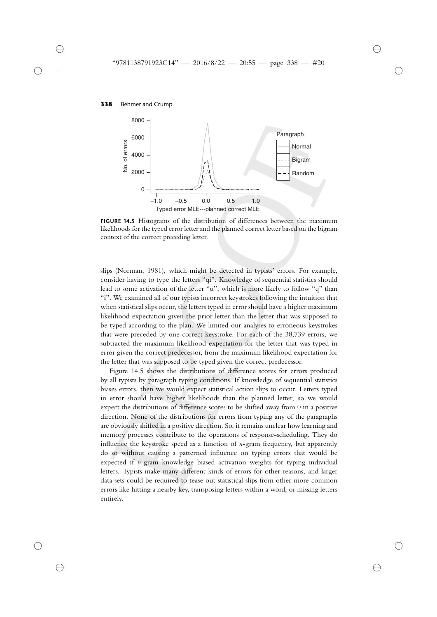$\oplus$ 

 $\oplus$ 

i

#### **338** Behmer and Crump

d.

Æ

D.

D.



**FIGURE 14.5** Histograms of the distribution of differences between the maximum likelihoods for the typed error letter and the planned correct letter based on the bigram context of the correct preceding letter.

slips (Norman, 1981), which might be detected in typists' errors. For example, consider having to type the letters "qi". Knowledge of sequential statistics should lead to some activation of the letter "u", which is more likely to follow "q" than "i". We examined all of our typists incorrect keystrokes following the intuition that when statistical slips occur, the letters typed in error should have a higher maximum likelihood expectation given the prior letter than the letter that was supposed to be typed according to the plan. We limited our analyses to erroneous keystrokes that were preceded by one correct keystroke. For each of the 38,739 errors, we subtracted the maximum likelihood expectation for the letter that was typed in error given the correct predecessor, from the maximum likelihood expectation for the letter that was supposed to be typed given the correct predecessor.

Figure 14.5 shows the distributions of difference scores for errors produced by all typists by paragraph typing conditions. If knowledge of sequential statistics biases errors, then we would expect statistical action slips to occur. Letters typed in error should have higher likelihoods than the planned letter, so we would expect the distributions of difference scores to be shifted away from 0 in a positive direction. None of the distributions for errors from typing any of the paragraphs are obviously shifted in a positive direction. So, it remains unclear how learning and memory processes contribute to the operations of response-scheduling. They do influence the keystroke speed as a function of *n*-gram frequency, but apparently do so without causing a patterned influence on typing errors that would be expected if *n*-gram knowledge biased activation weights for typing individual letters. Typists make many different kinds of errors for other reasons, and larger data sets could be required to tease out statistical slips from other more common errors like hitting a nearby key, transposing letters within a word, or missing letters entirely.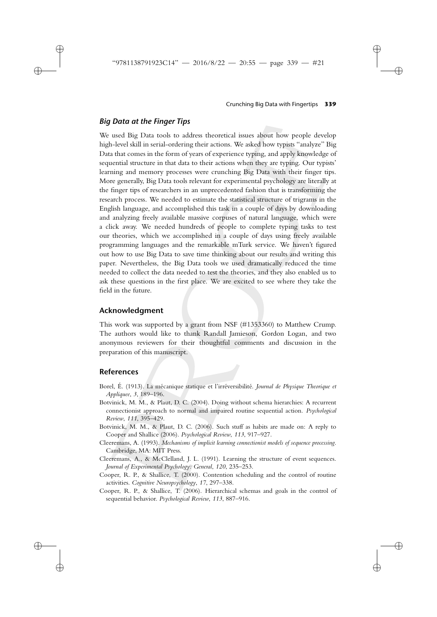"9781138791923C14" — 2016/8/22 — 20:55 — page 339 — #21

Crunching Big Data with Fingertips **339**

Æ

 $\oplus$ 

i

i

# *Big Data at the Finger Tips*

d.

d<br>D

D.

D.

We used Big Data tools to address theoretical issues about how people develop high-level skill in serial-ordering their actions. We asked how typists "analyze" Big Data that comes in the form of years of experience typing, and apply knowledge of sequential structure in that data to their actions when they are typing. Our typists' learning and memory processes were crunching Big Data with their finger tips. More generally, Big Data tools relevant for experimental psychology are literally at the finger tips of researchers in an unprecedented fashion that is transforming the research process. We needed to estimate the statistical structure of trigrams in the English language, and accomplished this task in a couple of days by downloading and analyzing freely available massive corpuses of natural language, which were a click away. We needed hundreds of people to complete typing tasks to test our theories, which we accomplished in a couple of days using freely available programming languages and the remarkable mTurk service. We haven't figured out how to use Big Data to save time thinking about our results and writing this paper. Nevertheless, the Big Data tools we used dramatically reduced the time needed to collect the data needed to test the theories, and they also enabled us to ask these questions in the first place. We are excited to see where they take the field in the future.

# **Acknowledgment**

This work was supported by a grant from NSF (#1353360) to Matthew Crump. The authors would like to thank Randall Jamieson, Gordon Logan, and two anonymous reviewers for their thoughtful comments and discussion in the preparation of this manuscript.

# **References**

- Borel, É. (1913). La mécanique statique et l'irréversibilité. *Journal de Physique Theorique et Appliquee*, *3*, 189–196.
- Botvinick, M. M., & Plaut, D. C. (2004). Doing without schema hierarchies: A recurrent connectionist approach to normal and impaired routine sequential action. *Psychological Review*, *111*, 395–429.
- Botvinick, M. M., & Plaut, D. C. (2006). Such stuff as habits are made on: A reply to Cooper and Shallice (2006). *Psychological Review*, *113*, 917–927.
- Cleeremans, A. (1993). *Mechanisms of implicit learning connectionist models of sequence processing*. Cambridge, MA: MIT Press.
- Cleeremans, A., & McClelland, J. L. (1991). Learning the structure of event sequences. *Journal of Experimental Psychology: General*, *120*, 235–253.
- Cooper, R. P., & Shallice, T. (2000). Contention scheduling and the control of routine activities. *Cognitive Neuropsychology*, *17*, 297–338.
- Cooper, R. P., & Shallice, T. (2006). Hierarchical schemas and goals in the control of sequential behavior. *Psychological Review*, *113*, 887–916.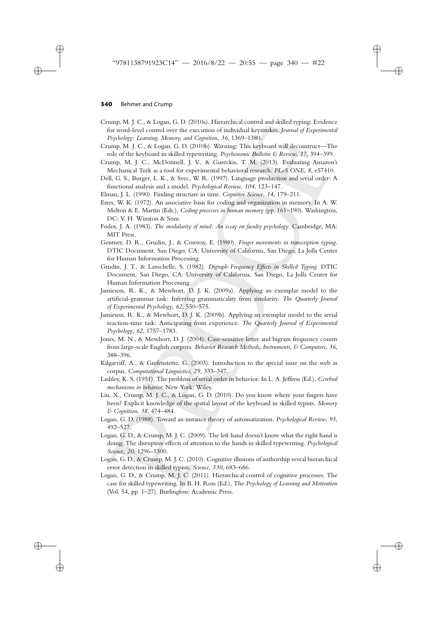<sup>n</sup>

 $\oplus$ 

i

i

#### **340** Behmer and Crump

d.

d<br>D

D.

D.

- Crump, M. J. C., & Logan, G. D. (2010a). Hierarchical control and skilled typing: Evidence for word-level control over the execution of individual keystrokes. *Journal of Experimental Psychology: Learning, Memory, and Cognition*, *36*, 1369–1380.
- Crump, M. J. C., & Logan, G. D. (2010b). Warning: This keyboard will deconstruct—The role of the keyboard in skilled typewriting. *Psychonomic Bulletin & Review*, *17*, 394–399.
- Crump, M. J. C., McDonnell, J. V., & Gureckis, T. M. (2013). Evaluating Amazon's Mechanical Turk as a tool for experimental behavioral research. *PLoS ONE*, *8*, e57410.
- Dell, G. S., Burger, L. K., & Svec, W. R. (1997). Language production and serial order: A functional analysis and a model. *Psychological Review*, *104*, 123–147.
- Elman, J. L. (1990). Finding structure in time. *Cognitive Science*, *14*, 179–211.
- Estes, W. K. (1972). An associative basis for coding and organization in memory. In A. W. Melton & E. Martin (Eds.), *Coding processes in human memory* (pp. 161–190). Washington, DC: V. H. Winston & Sons.
- Fodor, J. A. (1983). *The modularity of mind: An essay on faculty psychology*. Cambridge, MA: MIT Press.
- Gentner, D. R., Grudin, J., & Conway, E. (1980). *Finger movements in transcription typing*. DTIC Document. San Diego, CA: University of California, San Diego, La Jolla Center for Human Information Processing.
- Grudin, J. T., & Larochelle, S. (1982). *Digraph Frequency Effects in Skilled Typing.* DTIC Document. San Diego, CA: University of California, San Diego, La Jolla Center for Human Information Processing.
- Jamieson, R. K., & Mewhort, D. J. K. (2009a). Applying an exemplar model to the artificial-grammar task: Inferring grammaticality from similarity. *The Quarterly Journal of Experimental Psychology*, *62*, 550–575.
- Jamieson, R. K., & Mewhort, D. J. K. (2009b). Applying an exemplar model to the serial reaction-time task: Anticipating from experience. *The Quarterly Journal of Experimental Psychology*, *62*, 1757–1783.
- Jones, M. N., & Mewhort, D. J. (2004). Case-sensitive letter and bigram frequency counts from large-scale English corpora. *Behavior Research Methods, Instruments, & Computers*, *36*, 388–396.
- Kilgarriff, A., & Grefenstette, G. (2003). Introduction to the special issue on the web as corpus. *Computational Linguistics*, *29*, 333–347.
- Lashley, K. S. (1951). The problem of serial order in behavior. In L. A. Jeffress (Ed.), *Cerebral mechanisms in behavior.* New York: Wiley.
- Liu, X., Crump, M. J. C., & Logan, G. D. (2010). Do you know where your fingers have been? Explicit knowledge of the spatial layout of the keyboard in skilled typists. *Memory & Cognition*, *38*, 474–484.
- Logan, G. D. (1988). Toward an instance theory of automatization. *Psychological Review*, *95*, 492–527.
- Logan, G. D., & Crump, M. J. C. (2009). The left hand doesn't know what the right hand is doing: The disruptive effects of attention to the hands in skilled typewriting. *Psychological Science*, *20*, 1296–1300.
- Logan, G. D., & Crump, M. J. C. (2010). Cognitive illusions of authorship reveal hierarchical error detection in skilled typists. *Science*, *330*, 683–686.
- Logan, G. D., & Crump, M. J. C. (2011). Hierarchical control of cognitive processes: The case for skilled typewriting. In B. H. Ross (Ed.), The *Psychology of Learning and Motivation* (Vol. 54, pp. 1–27). Burlington: Academic Press.